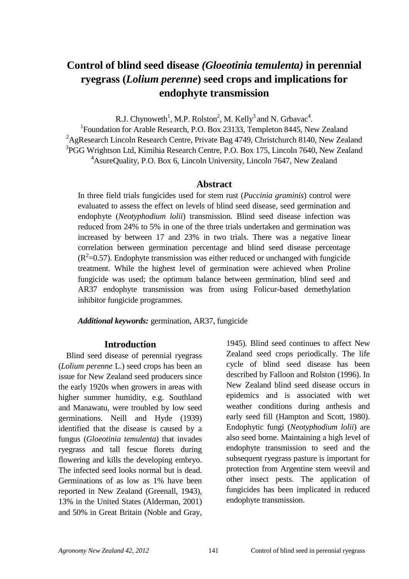# **Control of blind seed disease** *(Gloeotinia temulenta)* **in perennial ryegrass (***Lolium perenne***) seed crops and implications for endophyte transmission**

R.J. Chynoweth<sup>1</sup>, M.P. Rolston<sup>2</sup>, M. Kelly<sup>3</sup> and N. Grbavac<sup>4</sup>.

<sup>1</sup> Foundation for Arable Research, P.O. Box 23133, Templeton 8445, New Zealand <sup>2</sup>AgResearch Lincoln Research Centre, Private Bag 4749, Christchurch 8140, New Zealand <sup>3</sup>PGG Wrightson Ltd, Kimihia Research Centre, P.O. Box 175, Lincoln 7640, New Zealand <sup>4</sup>AsureQuality, P.O. Box 6, Lincoln University, Lincoln 7647, New Zealand

### **Abstract**

In three field trials fungicides used for stem rust (*Puccinia graminis*) control were evaluated to assess the effect on levels of blind seed disease, seed germination and endophyte (*Neotyphodium lolii*) transmission. Blind seed disease infection was reduced from 24% to 5% in one of the three trials undertaken and germination was increased by between 17 and 23% in two trials. There was a negative linear correlation between germination percentage and blind seed disease percentage  $(R^2=0.57)$ . Endophyte transmission was either reduced or unchanged with fungicide treatment. While the highest level of germination were achieved when Proline fungicide was used; the optimum balance between germination, blind seed and AR37 endophyte transmission was from using Folicur-based demethylation inhibitor fungicide programmes.

*Additional keywords:* germination, AR37, fungicide

## **Introduction**

Blind seed disease of perennial ryegrass (*Lolium perenne* L.) seed crops has been an issue for New Zealand seed producers since the early 1920s when growers in areas with higher summer humidity, e.g. Southland and Manawatu, were troubled by low seed germinations. Neill and Hyde (1939) identified that the disease is caused by a fungus (*Gloeotinia temulenta*) that invades ryegrass and tall fescue florets during flowering and kills the developing embryo. The infected seed looks normal but is dead. Germinations of as low as 1% have been reported in New Zealand (Greenall, 1943), 13% in the United States (Alderman, 2001) and 50% in Great Britain (Noble and Gray,

1945). Blind seed continues to affect New Zealand seed crops periodically. The life cycle of blind seed disease has been described by Falloon and Rolston (1996). In New Zealand blind seed disease occurs in epidemics and is associated with wet weather conditions during anthesis and early seed fill (Hampton and Scott, 1980). Endophytic fungi (*Neotyphodium lolii*) are also seed borne. Maintaining a high level of endophyte transmission to seed and the subsequent ryegrass pasture is important for protection from Argentine stem weevil and other insect pests. The application of fungicides has been implicated in reduced endophyte transmission.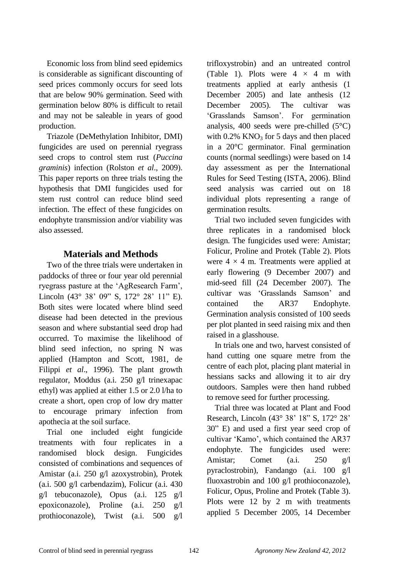Economic loss from blind seed epidemics is considerable as significant discounting of seed prices commonly occurs for seed lots that are below 90% germination. Seed with germination below 80% is difficult to retail and may not be saleable in years of good production.

Triazole (DeMethylation Inhibitor, DMI) fungicides are used on perennial ryegrass seed crops to control stem rust (*Puccina graminis*) infection (Rolston *et al*., 2009). This paper reports on three trials testing the hypothesis that DMI fungicides used for stem rust control can reduce blind seed infection. The effect of these fungicides on endophyte transmission and/or viability was also assessed.

## **Materials and Methods**

Two of the three trials were undertaken in paddocks of three or four year old perennial ryegrass pasture at the "AgResearch Farm", Lincoln (43° 38' 09" S, 172° 28' 11" E). Both sites were located where blind seed disease had been detected in the previous season and where substantial seed drop had occurred. To maximise the likelihood of blind seed infection, no spring N was applied (Hampton and Scott, 1981, de Filippi *et al*., 1996). The plant growth regulator, Moddus (a.i. 250 g/l trinexapac ethyl) was applied at either 1.5 or 2.0 l/ha to create a short, open crop of low dry matter to encourage primary infection from apothecia at the soil surface.

Trial one included eight fungicide treatments with four replicates in a randomised block design. Fungicides consisted of combinations and sequences of Amistar (a.i. 250 g/l azoxystrobin), Protek (a.i. 500 g/l carbendazim), Folicur (a.i. 430 g/l tebuconazole), Opus (a.i. 125 g/l epoxiconazole), Proline (a.i. 250 g/l prothioconazole), Twist (a.i. 500 g/l trifloxystrobin) and an untreated control (Table 1). Plots were  $4 \times 4$  m with treatments applied at early anthesis (1 December 2005) and late anthesis (12 December 2005). The cultivar was "Grasslands Samson". For germination analysis, 400 seeds were pre-chilled  $(5^{\circ}C)$ with  $0.2\%$  KNO<sub>3</sub> for 5 days and then placed in a 20°C germinator. Final germination counts (normal seedlings) were based on 14 day assessment as per the International Rules for Seed Testing (ISTA, 2006). Blind seed analysis was carried out on 18 individual plots representing a range of germination results.

Trial two included seven fungicides with three replicates in a randomised block design. The fungicides used were: Amistar; Folicur, Proline and Protek (Table 2). Plots were  $4 \times 4$  m. Treatments were applied at early flowering (9 December 2007) and mid-seed fill (24 December 2007). The cultivar was "Grasslands Samson" and contained the AR37 Endophyte. Germination analysis consisted of 100 seeds per plot planted in seed raising mix and then raised in a glasshouse.

In trials one and two, harvest consisted of hand cutting one square metre from the centre of each plot, placing plant material in hessians sacks and allowing it to air dry outdoors. Samples were then hand rubbed to remove seed for further processing.

Trial three was located at Plant and Food Research, Lincoln (43° 38" 18" S, 172° 28" 30" E) and used a first year seed crop of cultivar "Kamo", which contained the AR37 endophyte. The fungicides used were: Amistar; Comet (a.i. 250 g/l pyraclostrobin), Fandango (a.i. 100 g/l fluoxastrobin and 100 g/l prothioconazole), Folicur, Opus, Proline and Protek (Table 3). Plots were 12 by 2 m with treatments applied 5 December 2005, 14 December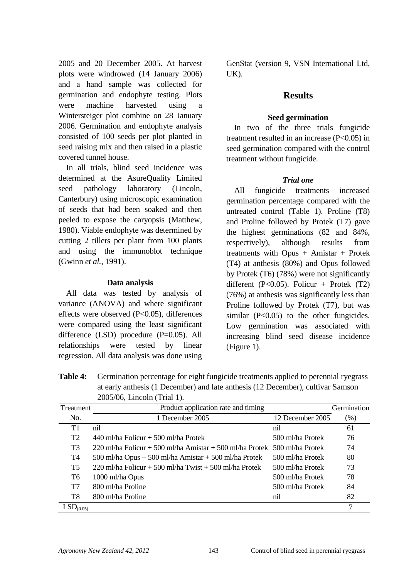2005 and 20 December 2005. At harvest plots were windrowed (14 January 2006) and a hand sample was collected for germination and endophyte testing. Plots were machine harvested using a Wintersteiger plot combine on 28 January 2006. Germination and endophyte analysis consisted of 100 seeds per plot planted in seed raising mix and then raised in a plastic covered tunnel house.

In all trials, blind seed incidence was determined at the AsureQuality Limited seed pathology laboratory (Lincoln, Canterbury) using microscopic examination of seeds that had been soaked and then peeled to expose the caryopsis (Matthew, 1980). Viable endophyte was determined by cutting 2 tillers per plant from 100 plants and using the immunoblot technique (Gwinn *et al.*, 1991).

### **Data analysis**

All data was tested by analysis of variance (ANOVA) and where significant effects were observed (P<0.05), differences were compared using the least significant difference (LSD) procedure (P=0.05). All relationships were tested by linear regression. All data analysis was done using GenStat (version 9, VSN International Ltd, UK).

## **Results**

#### **Seed germination**

In two of the three trials fungicide treatment resulted in an increase  $(P<0.05)$  in seed germination compared with the control treatment without fungicide.

#### *Trial one*

All fungicide treatments increased germination percentage compared with the untreated control (Table 1). Proline (T8) and Proline followed by Protek (T7) gave the highest germinations (82 and 84%, respectively), although results from treatments with Opus  $+$  Amistar  $+$  Protek (T4) at anthesis (80%) and Opus followed by Protek (T6) (78%) were not significantly different (P< $0.05$ ). Folicur + Protek (T2) (76%) at anthesis was significantly less than Proline followed by Protek (T7), but was similar  $(P<0.05)$  to the other fungicides. Low germination was associated with increasing blind seed disease incidence (Figure 1).

**Table 4:** Germination percentage for eight fungicide treatments applied to perennial ryegrass at early anthesis (1 December) and late anthesis (12 December), cultivar Samson 2005/06, Lincoln (Trial 1).

| Treatment             | Product application rate and timing<br>Germination                        |                  |      |
|-----------------------|---------------------------------------------------------------------------|------------------|------|
| No.                   | 1 December 2005                                                           | 12 December 2005 | (% ) |
| T1                    | nil                                                                       | nil              | 61   |
| T <sub>2</sub>        | 440 ml/ha Folicur $+$ 500 ml/ha Protek                                    | 500 ml/ha Protek | 76   |
| T <sub>3</sub>        | 220 ml/ha Folicur + 500 ml/ha Amistar + 500 ml/ha Protek 500 ml/ha Protek |                  | 74   |
| T4                    | 500 ml/ha Opus + 500 ml/ha Amistar + 500 ml/ha Protek                     | 500 ml/ha Protek | 80   |
| T5                    | 220 ml/ha Folicur + 500 ml/ha Twist + 500 ml/ha Protek                    | 500 ml/ha Protek | 73   |
| T6                    | 1000 ml/ha Opus                                                           | 500 ml/ha Protek | 78   |
| T7                    | 800 ml/ha Proline                                                         | 500 ml/ha Protek | 84   |
| T8                    | 800 ml/ha Proline                                                         | nil              | 82   |
| LSD <sub>(0.05)</sub> |                                                                           |                  | 7    |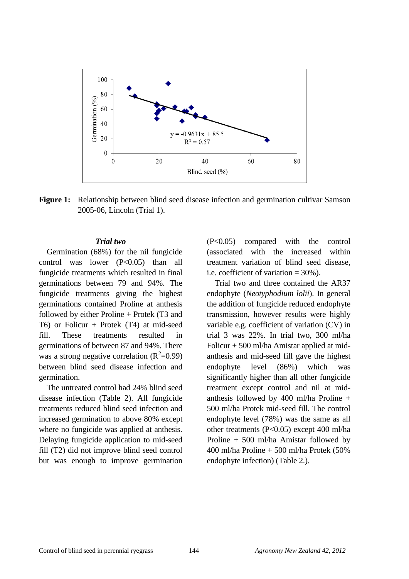

**Figure 1:** Relationship between blind seed disease infection and germination cultivar Samson 2005-06, Lincoln (Trial 1).

#### *Trial two*

Germination (68%) for the nil fungicide control was lower (P<0.05) than all fungicide treatments which resulted in final germinations between 79 and 94%. The fungicide treatments giving the highest germinations contained Proline at anthesis followed by either Proline + Protek (T3 and T6) or Folicur + Protek (T4) at mid-seed fill. These treatments resulted in germinations of between 87 and 94%. There was a strong negative correlation  $(R^2=0.99)$ between blind seed disease infection and germination.

The untreated control had 24% blind seed disease infection (Table 2). All fungicide treatments reduced blind seed infection and increased germination to above 80% except where no fungicide was applied at anthesis. Delaying fungicide application to mid-seed fill (T2) did not improve blind seed control but was enough to improve germination

(P<0.05) compared with the control (associated with the increased within treatment variation of blind seed disease, i.e. coefficient of variation = 30%).

Trial two and three contained the AR37 endophyte (*Neotyphodium lolii*). In general the addition of fungicide reduced endophyte transmission, however results were highly variable e.g. coefficient of variation (CV) in trial 3 was 22%. In trial two, 300 ml/ha Folicur  $+$  500 ml/ha Amistar applied at midanthesis and mid-seed fill gave the highest endophyte level (86%) which was significantly higher than all other fungicide treatment except control and nil at midanthesis followed by 400 ml/ha Proline + 500 ml/ha Protek mid-seed fill. The control endophyte level (78%) was the same as all other treatments (P<0.05) except 400 ml/ha Proline + 500 ml/ha Amistar followed by 400 ml/ha Proline + 500 ml/ha Protek (50% endophyte infection) (Table 2.).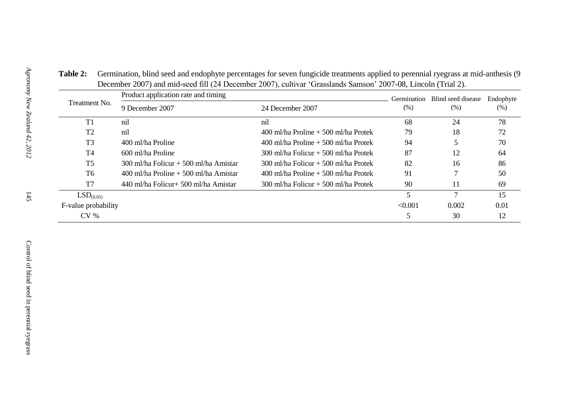| Treatment No.         | Product application rate and timing      |                                         | Germination | Blind seed disease | Endophyte |
|-----------------------|------------------------------------------|-----------------------------------------|-------------|--------------------|-----------|
|                       | 9 December 2007                          | 24 December 2007                        | (% )        | (% )               | (%)       |
| T1                    | nil                                      | nil                                     | 68          | 24                 | 78        |
| T <sub>2</sub>        | nil                                      | $400$ ml/ha Proline $+500$ ml/ha Protek | 79          | 18                 | 72        |
| T <sub>3</sub>        | 400 ml/ha Proline                        | $400$ ml/ha Proline $+500$ ml/ha Protek | 94          |                    | 70        |
| T <sub>4</sub>        | 600 ml/ha Proline                        | $300$ ml/ha Folicur + 500 ml/ha Protek  | 87          | 12                 | 64        |
| <b>T5</b>             | $300$ ml/ha Folicur + 500 ml/ha Amistar  | $300$ ml/ha Folicur + 500 ml/ha Protek  | 82          | 16                 | 86        |
| T6                    | $400$ ml/ha Proline $+500$ ml/ha Amistar | $400$ ml/ha Proline $+500$ ml/ha Protek | 91          |                    | 50        |
| T7                    | 440 ml/ha Folicur+ 500 ml/ha Amistar     | $300$ ml/ha Folicur + 500 ml/ha Protek  | 90          | 11                 | 69        |
| LSD <sub>(0.05)</sub> |                                          |                                         | 5           |                    | 15        |
| F-value probability   |                                          | < 0.001                                 | 0.002       | 0.01               |           |
| CV <sub>0</sub>       |                                          |                                         |             | 30                 | 12        |

**Table 2:** Germination, blind seed and endophyte percentages for seven fungicide treatments applied to perennial ryegrass at mid-anthesis (9 December 2007) and mid-seed fill (24 December 2007), cultivar "Grasslands Samson" 2007-08, Lincoln (Trial 2).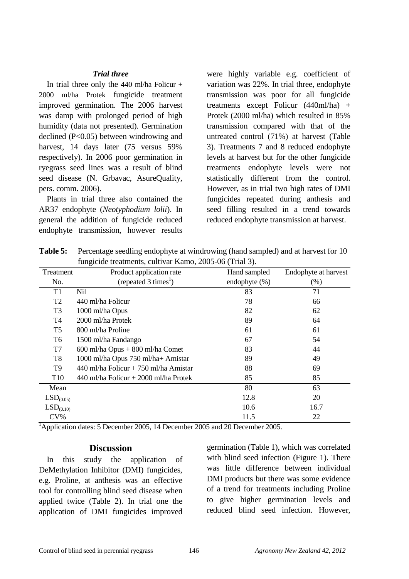#### *Trial three*

In trial three only the 440 ml/ha Folicur + 2000 ml/ha Protek fungicide treatment improved germination. The 2006 harvest was damp with prolonged period of high humidity (data not presented). Germination declined (P<0.05) between windrowing and harvest, 14 days later (75 versus 59% respectively). In 2006 poor germination in ryegrass seed lines was a result of blind seed disease (N. Grbavac, AsureQuality, pers. comm. 2006).

Plants in trial three also contained the AR37 endophyte (*Neotyphodium lolii*). In general the addition of fungicide reduced endophyte transmission, however results were highly variable e.g. coefficient of variation was 22%. In trial three, endophyte transmission was poor for all fungicide treatments except Folicur (440ml/ha) + Protek (2000 ml/ha) which resulted in 85% transmission compared with that of the untreated control (71%) at harvest (Table 3). Treatments 7 and 8 reduced endophyte levels at harvest but for the other fungicide treatments endophyte levels were not statistically different from the control. However, as in trial two high rates of DMI fungicides repeated during anthesis and seed filling resulted in a trend towards reduced endophyte transmission at harvest.

**Table 5:** Percentage seedling endophyte at windrowing (hand sampled) and at harvest for 10 fungicide treatments, cultivar Kamo, 2005-06 (Trial 3).

| Treatment             | Product application rate                  | Hand sampled     | Endophyte at harvest |
|-----------------------|-------------------------------------------|------------------|----------------------|
| No.                   | (repeated $3 \times$ times <sup>1</sup> ) | endophyte $(\%)$ | (% )                 |
| T <sub>1</sub>        | Nil                                       | 83               | 71                   |
| T <sub>2</sub>        | 440 ml/ha Folicur                         | 78               | 66                   |
| T <sub>3</sub>        | 1000 ml/ha Opus                           | 82               | 62                   |
| T4                    | 2000 ml/ha Protek                         | 89               | 64                   |
| T <sub>5</sub>        | 800 ml/ha Proline                         | 61               | 61                   |
| T <sub>6</sub>        | 1500 ml/ha Fandango                       | 67               | 54                   |
| T7                    | $600$ ml/ha Opus + $800$ ml/ha Comet      | 83               | 44                   |
| T <sub>8</sub>        | 1000 ml/ha Opus 750 ml/ha+ Amistar        | 89               | 49                   |
| T9                    | 440 ml/ha Folicur + 750 ml/ha Amistar     | 88               | 69                   |
| T <sub>10</sub>       | 440 ml/ha Folicur + 2000 ml/ha Protek     | 85               | 85                   |
| Mean                  |                                           | 80               | 63                   |
| LSD <sub>(0.05)</sub> |                                           | 12.8             | 20                   |
| LSD <sub>(0.10)</sub> |                                           | 10.6             | 16.7                 |
| $CV\%$                |                                           | 11.5             | 22                   |

<sup>1</sup>Application dates: 5 December 2005, 14 December 2005 and 20 December 2005.

#### **Discussion**

In this study the application of DeMethylation Inhibitor (DMI) fungicides, e.g. Proline, at anthesis was an effective tool for controlling blind seed disease when applied twice (Table 2). In trial one the application of DMI fungicides improved germination (Table 1), which was correlated with blind seed infection (Figure 1). There was little difference between individual DMI products but there was some evidence of a trend for treatments including Proline to give higher germination levels and reduced blind seed infection. However,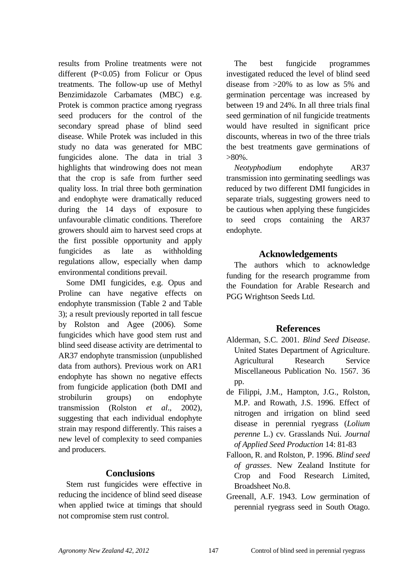results from Proline treatments were not different (P<0.05) from Folicur or Opus treatments. The follow-up use of Methyl Benzimidazole Carbamates (MBC) e.g. Protek is common practice among ryegrass seed producers for the control of the secondary spread phase of blind seed disease. While Protek was included in this study no data was generated for MBC fungicides alone. The data in trial 3 highlights that windrowing does not mean that the crop is safe from further seed quality loss. In trial three both germination and endophyte were dramatically reduced during the 14 days of exposure to unfavourable climatic conditions. Therefore growers should aim to harvest seed crops at the first possible opportunity and apply fungicides as late as withholding regulations allow, especially when damp environmental conditions prevail.

Some DMI fungicides, e.g. Opus and Proline can have negative effects on endophyte transmission (Table 2 and Table 3); a result previously reported in tall fescue by Rolston and Agee (2006). Some fungicides which have good stem rust and blind seed disease activity are detrimental to AR37 endophyte transmission (unpublished data from authors). Previous work on AR1 endophyte has shown no negative effects from fungicide application (both DMI and strobilurin groups) on endophyte transmission (Rolston *et al*., 2002), suggesting that each individual endophyte strain may respond differently. This raises a new level of complexity to seed companies and producers.

## **Conclusions**

Stem rust fungicides were effective in reducing the incidence of blind seed disease when applied twice at timings that should not compromise stem rust control.

The best fungicide programmes investigated reduced the level of blind seed disease from >20% to as low as 5% and germination percentage was increased by between 19 and 24%. In all three trials final seed germination of nil fungicide treatments would have resulted in significant price discounts, whereas in two of the three trials the best treatments gave germinations of  $>80\%$ .

*Neotyphodium* endophyte AR37 transmission into germinating seedlings was reduced by two different DMI fungicides in separate trials, suggesting growers need to be cautious when applying these fungicides to seed crops containing the AR37 endophyte.

## **Acknowledgements**

The authors which to acknowledge funding for the research programme from the Foundation for Arable Research and PGG Wrightson Seeds Ltd.

## **References**

- Alderman, S.C. 2001. *Blind Seed Disease*. United States Department of Agriculture. Agricultural Research Service Miscellaneous Publication No. 1567. 36 pp.
- de Filippi, J.M., Hampton, J.G., Rolston, M.P. and Rowath, J.S. 1996. Effect of nitrogen and irrigation on blind seed disease in perennial ryegrass (*Lolium perenne* L.) cv. Grasslands Nui. *Journal of Applied Seed Production* 14: 81-83
- Falloon, R. and Rolston, P. 1996. *Blind seed of grasses*. New Zealand Institute for Crop and Food Research Limited, Broadsheet No.8.
- Greenall, A.F. 1943. Low germination of perennial ryegrass seed in South Otago.